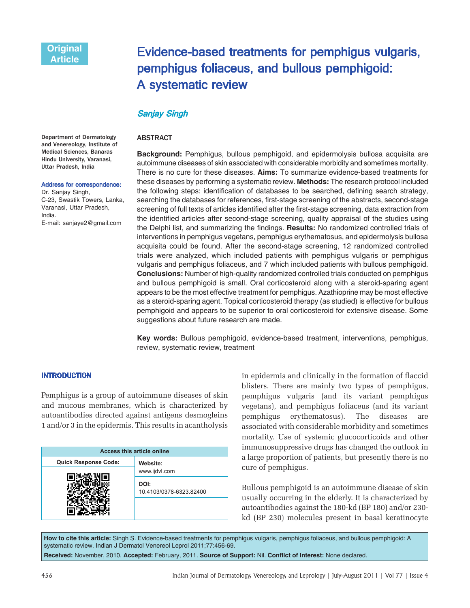# Evidence-based treatments for pemphigus vulgaris, pemphigus foliaceus, and bullous pemphigoid: A systematic review

## Sanjay Singh

## ABSTRACT

**Background:** Pemphigus, bullous pemphigoid, and epidermolysis bullosa acquisita are autoimmune diseases of skin associated with considerable morbidity and sometimes mortality. There is no cure for these diseases. **Aims:** To summarize evidence-based treatments for these diseases by performing a systematic review. **Methods:** The research protocol included the following steps: identification of databases to be searched, defining search strategy, searching the databases for references, first-stage screening of the abstracts, second-stage screening of full texts of articles identified after the first-stage screening, data extraction from the identified articles after second-stage screening, quality appraisal of the studies using the Delphi list, and summarizing the findings. **Results:** No randomized controlled trials of interventions in pemphigus vegetans, pemphigus erythematosus, and epidermolysis bullosa acquisita could be found. After the second-stage screening, 12 randomized controlled trials were analyzed, which included patients with pemphigus vulgaris or pemphigus vulgaris and pemphigus foliaceus, and 7 which included patients with bullous pemphigoid. **Conclusions:** Number of high-quality randomized controlled trials conducted on pemphigus and bullous pemphigoid is small. Oral corticosteroid along with a steroid-sparing agent appears to be the most effective treatment for pemphigus. Azathioprine may be most effective as a steroid-sparing agent. Topical corticosteroid therapy (as studied) is effective for bullous pemphigoid and appears to be superior to oral corticosteroid for extensive disease. Some suggestions about future research are made.

**Key words:** Bullous pemphigoid, evidence-based treatment, interventions, pemphigus, review, systematic review, treatment

## INTRODUCTION

Pemphigus is a group of autoimmune diseases of skin and mucous membranes, which is characterized by autoantibodies directed against antigens desmogleins 1 and/or 3 in the epidermis. This results in acantholysis

| <b>Access this article online</b> |                                                  |
|-----------------------------------|--------------------------------------------------|
| <b>Quick Response Code:</b>       | Website:                                         |
|                                   | www.ijdvl.com<br>DOI:<br>10.4103/0378-6323.82400 |
|                                   |                                                  |

blisters. There are mainly two types of pemphigus, pemphigus vulgaris (and its variant pemphigus vegetans), and pemphigus foliaceus (and its variant pemphigus erythematosus). The diseases are associated with considerable morbidity and sometimes mortality. Use of systemic glucocorticoids and other immunosuppressive drugs has changed the outlook in a large proportion of patients, but presently there is no cure of pemphigus.

Bullous pemphigoid is an autoimmune disease of skin usually occurring in the elderly. It is characterized by autoantibodies against the 180-kd (BP 180) and/or 230 kd (BP 230) molecules present in basal keratinocyte

**How to cite this article:** Singh S. Evidence-based treatments for pemphigus vulgaris, pemphigus foliaceus, and bullous pemphigoid: A systematic review. Indian J Dermatol Venereol Leprol 2011;77:456-69. **Received:** November, 2010. **Accepted:** February, 2011. **Source of Support:** Nil. **Conflict of Interest:** None declared.

in epidermis and clinically in the formation of flaccid

Department of Dermatology and Venereology, Institute of Medical Sciences, Banaras Hindu University, Varanasi, Uttar Pradesh, India

#### Address for correspondence:

Dr. Sanjay Singh, C-23, Swastik Towers, Lanka, Varanasi, Uttar Pradesh, India. E-mail: sanjaye2@gmail.com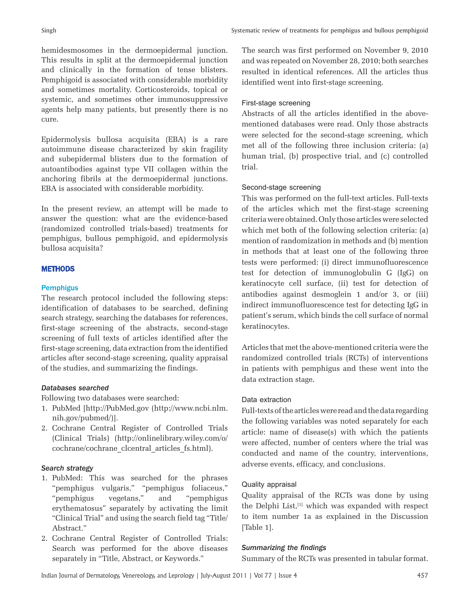hemidesmosomes in the dermoepidermal junction. This results in split at the dermoepidermal junction and clinically in the formation of tense blisters. Pemphigoid is associated with considerable morbidity and sometimes mortality. Corticosteroids, topical or systemic, and sometimes other immunosuppressive agents help many patients, but presently there is no cure.

Epidermolysis bullosa acquisita (EBA) is a rare autoimmune disease characterized by skin fragility and subepidermal blisters due to the formation of autoantibodies against type VII collagen within the anchoring fibrils at the dermoepidermal junctions. EBA is associated with considerable morbidity.

In the present review, an attempt will be made to answer the question: what are the evidence-based (randomized controlled trials-based) treatments for pemphigus, bullous pemphigoid, and epidermolysis bullosa acquisita?

## **METHODS**

#### **Pemphigus**

The research protocol included the following steps: identification of databases to be searched, defining search strategy, searching the databases for references, first-stage screening of the abstracts, second-stage screening of full texts of articles identified after the first-stage screening, data extraction from the identified articles after second-stage screening, quality appraisal of the studies, and summarizing the findings.

### *Databases searched*

Following two databases were searched:

- 1. PubMed [http://PubMed.gov (http://www.ncbi.nlm. nih.gov/pubmed/)].
- 2. Cochrane Central Register of Controlled Trials (Clinical Trials) (http://onlinelibrary.wiley.com/o/ cochrane/cochrane\_clcentral\_articles\_fs.html).

#### *Search strategy*

- 1. PubMed: This was searched for the phrases "pemphigus vulgaris," "pemphigus foliaceus," "pemphigus vegetans," and "pemphigus erythematosus" separately by activating the limit "Clinical Trial" and using the search field tag "Title/ Abstract."
- 2. Cochrane Central Register of Controlled Trials: Search was performed for the above diseases separately in "Title, Abstract, or Keywords."

The search was first performed on November 9, 2010 and was repeated on November 28, 2010; both searches resulted in identical references. All the articles thus identified went into first-stage screening.

#### First-stage screening

Abstracts of all the articles identified in the abovementioned databases were read. Only those abstracts were selected for the second-stage screening, which met all of the following three inclusion criteria: (a) human trial, (b) prospective trial, and (c) controlled trial.

## Second-stage screening

This was performed on the full-text articles. Full-texts of the articles which met the first-stage screening criteria were obtained. Only those articles were selected which met both of the following selection criteria: (a) mention of randomization in methods and (b) mention in methods that at least one of the following three tests were performed: (i) direct immunofluorescence test for detection of immunoglobulin G (IgG) on keratinocyte cell surface, (ii) test for detection of antibodies against desmoglein 1 and/or 3, or (iii) indirect immunofluorescence test for detecting IgG in patient's serum, which binds the cell surface of normal keratinocytes.

Articles that met the above-mentioned criteria were the randomized controlled trials (RCTs) of interventions in patients with pemphigus and these went into the data extraction stage.

#### Data extraction

Full-texts of the articles were read and the data regarding the following variables was noted separately for each article: name of disease(s) with which the patients were affected, number of centers where the trial was conducted and name of the country, interventions, adverse events, efficacy, and conclusions.

#### Quality appraisal

Quality appraisal of the RCTs was done by using the Delphi List,[1] which was expanded with respect to item number 1a as explained in the Discussion [Table 1].

#### *Summarizing the findings*

Summary of the RCTs was presented in tabular format.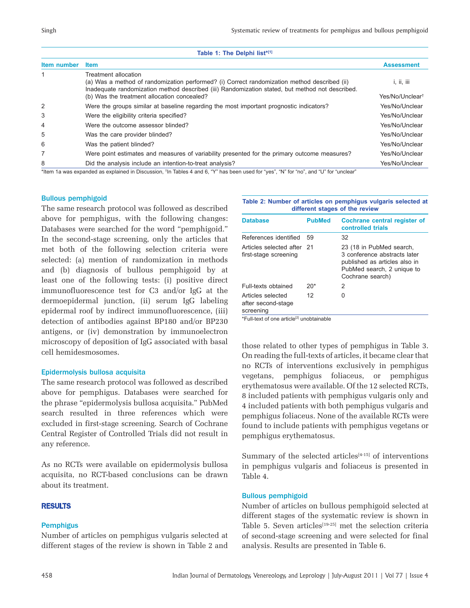|  |  |  | Table 1: The Delphi list*[1] |  |
|--|--|--|------------------------------|--|
|--|--|--|------------------------------|--|

| Item number | <b>Item</b>                                                                                                                                                                                                             | <b>Assessment</b>           |
|-------------|-------------------------------------------------------------------------------------------------------------------------------------------------------------------------------------------------------------------------|-----------------------------|
|             | Treatment allocation<br>(a) Was a method of randomization performed? (i) Correct randomization method described (ii)<br>Inadequate randomization method described (iii) Randomization stated, but method not described. | i, ii, iii                  |
|             | (b) Was the treatment allocation concealed?                                                                                                                                                                             | Yes/No/Unclear <sup>t</sup> |
| 2           | Were the groups similar at baseline regarding the most important prognostic indicators?                                                                                                                                 | Yes/No/Unclear              |
| 3           | Were the eligibility criteria specified?                                                                                                                                                                                | Yes/No/Unclear              |
| 4           | Were the outcome assessor blinded?                                                                                                                                                                                      | Yes/No/Unclear              |
| 5           | Was the care provider blinded?                                                                                                                                                                                          | Yes/No/Unclear              |
| 6           | Was the patient blinded?                                                                                                                                                                                                | Yes/No/Unclear              |
| 7           | Were point estimates and measures of variability presented for the primary outcome measures?                                                                                                                            | Yes/No/Unclear              |
| 8           | Did the analysis include an intention-to-treat analysis?                                                                                                                                                                | Yes/No/Unclear              |

\*Item 1a was expanded as explained in Discussion, †In Tables 4 and 6, "Y" has been used for "yes", "N" for "no", and "U" for "unclear"

#### Bullous pemphigoid

The same research protocol was followed as described above for pemphigus, with the following changes: Databases were searched for the word "pemphigoid." In the second-stage screening, only the articles that met both of the following selection criteria were selected: (a) mention of randomization in methods and (b) diagnosis of bullous pemphigoid by at least one of the following tests: (i) positive direct immunofluorescence test for C3 and/or IgG at the dermoepidermal junction, (ii) serum IgG labeling epidermal roof by indirect immunofluorescence, (iii) detection of antibodies against BP180 and/or BP230 antigens, or (iv) demonstration by immunoelectron microscopy of deposition of IgG associated with basal cell hemidesmosomes.

#### Epidermolysis bullosa acquisita

The same research protocol was followed as described above for pemphigus. Databases were searched for the phrase "epidermolysis bullosa acquisita." PubMed search resulted in three references which were excluded in first-stage screening. Search of Cochrane Central Register of Controlled Trials did not result in any reference.

As no RCTs were available on epidermolysis bullosa acquisita, no RCT-based conclusions can be drawn about its treatment.

## **RESULTS**

#### **Pemphigus**

Number of articles on pemphigus vulgaris selected at different stages of the review is shown in Table 2 and

| Table 2: Number of articles on pemphigus vulgaris selected at |                                |  |  |  |
|---------------------------------------------------------------|--------------------------------|--|--|--|
|                                                               | different stages of the review |  |  |  |

| <b>Database</b>                                      | <b>PubMed</b> | Cochrane central register of<br>controlled trials                                                                                           |
|------------------------------------------------------|---------------|---------------------------------------------------------------------------------------------------------------------------------------------|
| References identified                                | 59            | 32                                                                                                                                          |
| Articles selected after 21<br>first-stage screening  |               | 23 (18 in PubMed search,<br>3 conference abstracts later<br>published as articles also in<br>PubMed search, 2 unique to<br>Cochrane search) |
| Full-texts obtained                                  | $20*$         | 2                                                                                                                                           |
| Articles selected<br>after second-stage<br>screening | 12            | 0                                                                                                                                           |

 $*$ Full-text of one article<sup>[2]</sup> unobtainable

those related to other types of pemphigus in Table 3. On reading the full-texts of articles, it became clear that no RCTs of interventions exclusively in pemphigus vegetans, pemphigus foliaceus, or pemphigus erythematosus were available. Of the 12 selected RCTs, 8 included patients with pemphigus vulgaris only and 4 included patients with both pemphigus vulgaris and pemphigus foliaceus. None of the available RCTs were found to include patients with pemphigus vegetans or pemphigus erythematosus.

Summary of the selected articles<sup>[4-15]</sup> of interventions in pemphigus vulgaris and foliaceus is presented in Table 4.

## Bullous pemphigoid

Number of articles on bullous pemphigoid selected at different stages of the systematic review is shown in Table 5. Seven articles<sup>[19-25]</sup> met the selection criteria of second-stage screening and were selected for final analysis. Results are presented in Table 6.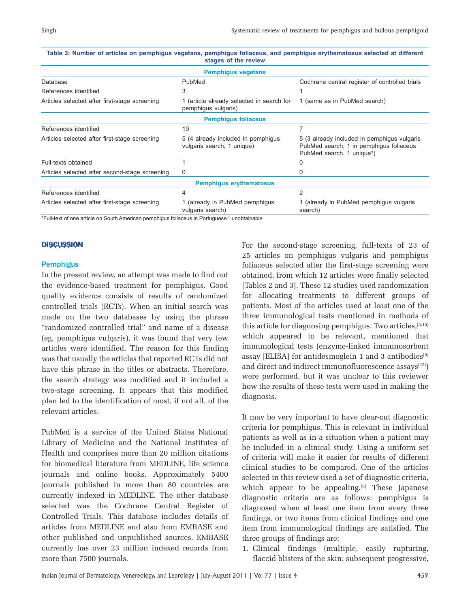|                                                                                                    | <b>Pemphigus vegetans</b>                                        |                                                                                                                     |  |
|----------------------------------------------------------------------------------------------------|------------------------------------------------------------------|---------------------------------------------------------------------------------------------------------------------|--|
| Database                                                                                           | PubMed                                                           | Cochrane central register of controlled trials                                                                      |  |
| References identified                                                                              | 3                                                                |                                                                                                                     |  |
| Articles selected after first-stage screening                                                      | 1 (article already selected in search for<br>pemphiqus vulgaris) | 1 (same as in PubMed search)                                                                                        |  |
|                                                                                                    | <b>Pemphiqus foliaceus</b>                                       |                                                                                                                     |  |
| References identified                                                                              | 19                                                               | 7                                                                                                                   |  |
| Articles selected after first-stage screening                                                      | 5 (4 already included in pemphigus<br>vulgaris search, 1 unique) | 5 (3 already included in pemphigus vulgaris<br>PubMed search, 1 in pemphigus foliaceus<br>PubMed search, 1 unique*) |  |
| Full-texts obtained                                                                                |                                                                  | 0                                                                                                                   |  |
| Articles selected after second-stage screening                                                     | $\Omega$                                                         | 0                                                                                                                   |  |
|                                                                                                    | <b>Pemphigus erythematosus</b>                                   |                                                                                                                     |  |
| References identified                                                                              | 4                                                                | $\mathcal{P}$                                                                                                       |  |
| Articles selected after first-stage screening                                                      | 1 (already in PubMed pemphigus<br>vulgaris search)               | 1 (already in PubMed pemphigus vulgaris<br>search)                                                                  |  |
| <b>Eullitant of ana article on Cauth American nomphique foliosous in Derturnseals unobtainable</b> |                                                                  |                                                                                                                     |  |

| Table 3: Number of articles on pemphigus vegetans, pemphigus foliaceus, and pemphigus erythematosus selected at different |
|---------------------------------------------------------------------------------------------------------------------------|
| stages of the review                                                                                                      |

\*Full-text of one article on South American pemphigus foliaceus in Portuguese[3] unobtainable

#### **DISCUSSION**

#### **Pemphigus**

In the present review, an attempt was made to find out the evidence-based treatment for pemphigus. Good quality evidence consists of results of randomized controlled trials (RCTs). When an initial search was made on the two databases by using the phrase "randomized controlled trial" and name of a disease (eg, pemphigus vulgaris), it was found that very few articles were identified. The reason for this finding was that usually the articles that reported RCTs did not have this phrase in the titles or abstracts. Therefore, the search strategy was modified and it included a two-stage screening. It appears that this modified plan led to the identification of most, if not all, of the relevant articles.

PubMed is a service of the United States National Library of Medicine and the National Institutes of Health and comprises more than 20 million citations for biomedical literature from MEDLINE, life science journals and online books. Approximately 5400 journals published in more than 80 countries are currently indexed in MEDLINE. The other database selected was the Cochrane Central Register of Controlled Trials. This database includes details of articles from MEDLINE and also from EMBASE and other published and unpublished sources. EMBASE currently has over 23 million indexed records from more than 7500 journals.

For the second-stage screening, full-texts of 23 of 25 articles on pemphigus vulgaris and pemphigus foliaceus selected after the first-stage screening were obtained, from which 12 articles were finally selected [Tables 2 and 3]. These 12 studies used randomization for allocating treatments to different groups of patients. Most of the articles used at least one of the three immunological tests mentioned in methods of this article for diagnosing pemphigus. Two articles,[5,15] which appeared to be relevant, mentioned that immunological tests (enzyme-linked immunosorbent assay [ELISA] for antidesmoglein 1 and 3 antibodies<sup>[5]</sup> and direct and indirect immunofluorescence assays<sup>[15]</sup>) were performed, but it was unclear to this reviewer how the results of these tests were used in making the diagnosis.

It may be very important to have clear-cut diagnostic criteria for pemphigus. This is relevant in individual patients as well as in a situation when a patient may be included in a clinical study. Using a uniform set of criteria will make it easier for results of different clinical studies to be compared. One of the articles selected in this review used a set of diagnostic criteria, which appear to be appealing. $[6]$  These Japanese diagnostic criteria are as follows: pemphigus is diagnosed when at least one item from every three findings, or two items from clinical findings and one item from immunological findings are satisfied. The three groups of findings are:

1. Clinical findings (multiple, easily rupturing, flaccid blisters of the skin; subsequent progressive,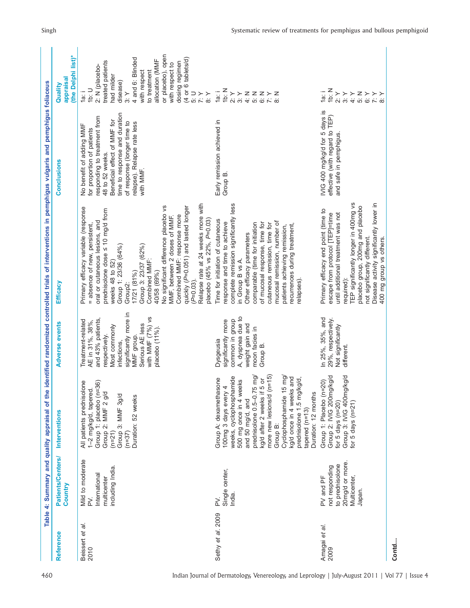| 15: U<br>1 <sub>b</sub> : N<br>$\begin{array}{l} {\bf Z}\\ \vdots \\ {\bf P}\\ \end{array} \succ\succ {\bf Z}\\ \begin{array}{l} {\bf Z}\\ {\bf Z}\\ {\bf Z}\\ \end{array} \succ\succ {\bf Z}\\ \end{array}$<br>i<br>1a<br>$\frac{1}{a}$<br>U<br>io<br>$\begin{array}{c} \chi \rightarrow \\ \chi \rightarrow \\ \gamma \rightarrow \end{array}$<br>$\begin{array}{c} \chi \rightarrow \\ \chi \rightarrow \\ \infty \end{array}$<br>$\frac{1}{3}$<br>4: Y<br>IVIG 400 mg/kg/d for 5 days is<br>time to response and duration<br>effective (with regard to TEP)<br>responding to treatment from<br>Beneficial effect of MMF for<br>Early remission achieved in<br>of response (longer time to<br>relapse). Relapse rate less<br>No benefit of adding MMF<br>for proportion of patients<br>and safe in pemphigus<br>48 to 52 weeks.<br>with MMF.<br>Group B.<br>TEP significantly longer in 400mg vs<br>Disease activity significantly lower in<br>Relapse rate at 24 weeks more with<br>complete remission significantly less<br>placebo group, 200mg and placebo<br>No significant difference placebo vs<br>quickly (P=0.051) and lasted longer<br>Primary efficacy variable (response<br>prednisolone dose s 10 mg/d from<br>Primary efficacy end point (time to<br>until additional treatment was not<br>escape from protocol [TEP]=time<br>Combined MMF: response more<br>MMF, between 2 doses of MMF.<br>Time for initiation of cutaneous<br>placebo (45% vs 22%, P=0.03)<br>oral or cutaneous lesions, and<br>mucosal remission, number of<br>comparable (time for initiation<br>response and time to achieve<br>of mucosal response, time for<br>= absence of new, persistent,<br>cutaneous remission, time for<br>recurrences during treatment,<br>patients achieving remission,<br>Other efficacy parameters<br>not significantly different.<br>Group 1: 23/36 (64%)<br>Group 3: 23/37 (62%)<br>in Group B vs A.<br>weeks 48 to 52)<br>Combined MMF:<br>17/21 (81%)<br>40/58 (69%)<br>required):<br>relapses).<br>$(P=0.03)$ .<br>Group2:<br>significantly more in<br>with MMF (7%) vs<br>A, dyspnea due to<br>In 25%, 35%, and<br>and 43% patients,<br>29%, respectively.<br>common in group<br>Treatment-related<br>significantly more<br>AE in 31%, 38%,<br>Serious AE less<br>weight gain and<br>Not significantly<br>Most commonly<br>placebo (11%).<br>moon facies in<br>respectively.<br>MMF group.<br>Dysgeusia<br>infections,<br>Group B.<br>different.<br>more new lesions/d (n=15)<br>Group 2: IVIG 200mg/kg/d<br>prednisolone 0.5-0.75 mg/<br>Cyclophosphamide 15 mg/<br>Group 3: IVIG 400mg/kg/d<br>weeks, cyclophosphamide<br>and<br>g/d,<br>$5$ or<br>Group A: dexamethasone<br>500 mg once in 4 weeks<br>Group 1: Placebo (n=20)<br>All patients prednisolone<br>Group 1: placebo (n=36)<br>kg/d once in 4 weeks<br>prednisolone 1.5 mg/k<br>1-2 mg/kg/d, tapered<br>kg/d after 2 weeks if<br>Duration: 12 months<br>Group 2: MMF 2 g/d<br>100mg 3 days every<br>Group 3: MMF 3g/d<br>Duration: 52 weeks<br>and 50 mg/d, and<br>for 5 days $(n=20)$<br>for 5 days $(n=21)$<br>$tapered$ ( $n=13$ )<br>Group B:<br>$(n=21)$<br>$(n=37)$<br>Mild to moderate<br>20mg/d or more.<br>to prednisolone<br>not responding<br>including India.<br>Single center,<br>International<br>Multicenter,<br>multicenter<br>PV and PF<br>Japan.<br>India.<br>ΣŃ,<br>≳<br>Sethy et al. 2009<br>ā.<br>Amagai et al.<br>Beissert et<br>2009<br>2010 | Reference | Patients/Centers/<br>Country | Interventions | Adverse events | Efficacy               | Conclusions | (the Delphi list)*<br>appraisal<br>Quality                                                                                                                                                                                                                                                                          |
|-----------------------------------------------------------------------------------------------------------------------------------------------------------------------------------------------------------------------------------------------------------------------------------------------------------------------------------------------------------------------------------------------------------------------------------------------------------------------------------------------------------------------------------------------------------------------------------------------------------------------------------------------------------------------------------------------------------------------------------------------------------------------------------------------------------------------------------------------------------------------------------------------------------------------------------------------------------------------------------------------------------------------------------------------------------------------------------------------------------------------------------------------------------------------------------------------------------------------------------------------------------------------------------------------------------------------------------------------------------------------------------------------------------------------------------------------------------------------------------------------------------------------------------------------------------------------------------------------------------------------------------------------------------------------------------------------------------------------------------------------------------------------------------------------------------------------------------------------------------------------------------------------------------------------------------------------------------------------------------------------------------------------------------------------------------------------------------------------------------------------------------------------------------------------------------------------------------------------------------------------------------------------------------------------------------------------------------------------------------------------------------------------------------------------------------------------------------------------------------------------------------------------------------------------------------------------------------------------------------------------------------------------------------------------------------------------------------------------------------------------------------------------------------------------------------------------------------------------------------------------------------------------------------------------------------------------------------------------------------------------------------------------------------------------------------------------------------------------------------------------------------------------------------------------------------------------------------------------------------------------------------------------------------------------------------------------------------------------------------------------------------------------------------------------------------------------------------|-----------|------------------------------|---------------|----------------|------------------------|-------------|---------------------------------------------------------------------------------------------------------------------------------------------------------------------------------------------------------------------------------------------------------------------------------------------------------------------|
|                                                                                                                                                                                                                                                                                                                                                                                                                                                                                                                                                                                                                                                                                                                                                                                                                                                                                                                                                                                                                                                                                                                                                                                                                                                                                                                                                                                                                                                                                                                                                                                                                                                                                                                                                                                                                                                                                                                                                                                                                                                                                                                                                                                                                                                                                                                                                                                                                                                                                                                                                                                                                                                                                                                                                                                                                                                                                                                                                                                                                                                                                                                                                                                                                                                                                                                                                                                                                                                           |           |                              |               |                |                        |             | or placebo), open<br>4 and 6: Blinded<br>(4 or 6 tablets/d)<br>allocation (MMF<br>treated patients<br>dosing regimen<br>with respect to<br>2: N (placebo-<br>to treatment<br>with respect<br>had milder<br>disease)                                                                                                 |
|                                                                                                                                                                                                                                                                                                                                                                                                                                                                                                                                                                                                                                                                                                                                                                                                                                                                                                                                                                                                                                                                                                                                                                                                                                                                                                                                                                                                                                                                                                                                                                                                                                                                                                                                                                                                                                                                                                                                                                                                                                                                                                                                                                                                                                                                                                                                                                                                                                                                                                                                                                                                                                                                                                                                                                                                                                                                                                                                                                                                                                                                                                                                                                                                                                                                                                                                                                                                                                                           |           |                              |               |                |                        |             |                                                                                                                                                                                                                                                                                                                     |
|                                                                                                                                                                                                                                                                                                                                                                                                                                                                                                                                                                                                                                                                                                                                                                                                                                                                                                                                                                                                                                                                                                                                                                                                                                                                                                                                                                                                                                                                                                                                                                                                                                                                                                                                                                                                                                                                                                                                                                                                                                                                                                                                                                                                                                                                                                                                                                                                                                                                                                                                                                                                                                                                                                                                                                                                                                                                                                                                                                                                                                                                                                                                                                                                                                                                                                                                                                                                                                                           |           |                              |               |                | 400 mg group vs others |             | $\begin{array}{l} \mathsf{Z}\succ\succ\succ\\ \mathsf{W}\mathsf{\;\;}\mathsf{\ddot{\;\;}}\mathsf{\ddot{\;\;}}\\ \mathsf{W}\mathsf{\ddot{\;\;}}\mathsf{\ddot{\;\;}}\mathsf{\ddot{\;\;}}\mathsf{\ddot{\;\;}}\\ \mathsf{W}\mathsf{\ddot{\;\;}}\mathsf{\ddot{\;\;}}\mathsf{\ddot{\;\;}}\mathsf{\ddot{\;\;}}\end{array}$ |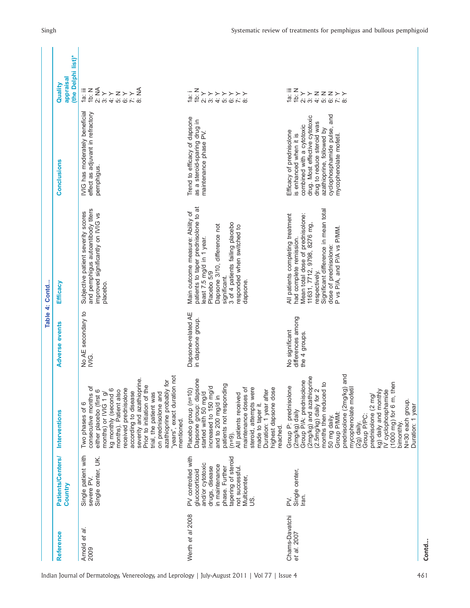|                | (the Delphi list)*<br>appraisal<br>Quality | 2:NA<br>i≣ Z<br>{ë<br>{ë<br>$\begin{array}{l} \mathsf{z}\left.\right\downarrow\left.\right\downarrow\mathsf{\tilde{z}}\\ \mathsf{w}\otimes\mathsf{w}\otimes\mathsf{w} \end{array}$<br>$3:$ $\times$<br>4: Y                                                                                                                                                                                   | ーハスメイスバー<br>おおじゃくメージ                                                                                                                                                                                                                                                                                                          | 1a: iii<br>Z<br>A > > z z z > ><br>A < < < < < < < <                                                                                                                                                                                                                                                                                                                                                                                     |       |
|----------------|--------------------------------------------|-----------------------------------------------------------------------------------------------------------------------------------------------------------------------------------------------------------------------------------------------------------------------------------------------------------------------------------------------------------------------------------------------|-------------------------------------------------------------------------------------------------------------------------------------------------------------------------------------------------------------------------------------------------------------------------------------------------------------------------------|------------------------------------------------------------------------------------------------------------------------------------------------------------------------------------------------------------------------------------------------------------------------------------------------------------------------------------------------------------------------------------------------------------------------------------------|-------|
|                | <b>Conclusions</b>                         | IVIG has moderately beneficial<br>effect as adjuvant in refractory<br>pemphigus.                                                                                                                                                                                                                                                                                                              | Trend to efficacy of dapsone<br>as a steroid-sparing drug in<br>maintenance phase PV.                                                                                                                                                                                                                                         | cyclophosphamide pulse, and<br>drug. Most effective cytotoxic<br>drug to reduce steroid was<br>combined with a cytotoxic<br>azathioprine, followed by<br>Efficacy of prednisolone<br>is enhanced when it is<br>mycophenolate mofetil.                                                                                                                                                                                                    |       |
| Table 4: Contd | Efficacy                                   | and pemphigus autoantibody titers<br>Subjective patient severity scores<br>improved significantly on IVIG vs<br>placebo                                                                                                                                                                                                                                                                       | patients to taper prednisolone to at<br>Main outcome measure: Ability of<br>3 of 4 patients failing placebo<br>Dapsone 3/10, difference not<br>responded when switched to<br>east 7.5 mg/d in 1 year.<br>Placebo 5/9<br>significant.<br>dapsone.                                                                              | Significant difference in mean total<br>All patients completing treatment<br>Mean total dose of prednisolone:<br>11631, 7712, 9798, 8276 mg,<br>P vs P/A, and P/A vs P/MM<br>had complete remission.<br>dose of prednisolone:<br>respectively                                                                                                                                                                                            |       |
|                | <b>Adverse events</b>                      | No AE secondary to<br>$\frac{6}{2}$                                                                                                                                                                                                                                                                                                                                                           | Dapsone-related AE<br>in dapsone group.                                                                                                                                                                                                                                                                                       | differences among<br>No significant<br>the 4 groups                                                                                                                                                                                                                                                                                                                                                                                      |       |
|                | <b>Interventions</b>                       | "years", exact duration not<br>severity and azathioprine.<br>azathioprine probably for<br>Prior to initiation of the<br>consecutive months of<br>either placebo (first 6<br>$\circ$<br>months). Patient also<br>received prednisolone<br>months) or IVIG 1 g/<br>according to disease<br>trial, the patient was<br>on prednisolone and<br>kg monthly (second<br>Two phases of 6<br>mentioned. | Dapsone group: dapsone<br>patients not responding<br>increased to 150 mg/d<br>đ<br>steroid, attempts were<br>Placebo group (n=10)<br>highest dapsone dose<br>Duration: 1 year after<br>started with 50 mg/d<br>All patients received<br>maintenance doses<br>and to 200 mg/d in<br>made to taper it.<br>reached.<br>$(n=9)$ . | prednisolone (2mg/kg) and<br>mycophenolate mofetil<br>(2mg/kg) and azathioprine<br>Group P/A: prednisolone<br>then<br>(2.5mg/kg) daily for 2<br>months then reduced to<br>Group P: prednisolone<br>kg) daily and monthly<br>IV cyclophosphamide<br>prednisolone (2 mg/<br>$(1000$ mg) for $6$ m,<br>N=30 each group.<br>year<br>(2mg/kg) daily<br>50 mg daily.<br>Group P/MM:<br>Group P/PC:<br>Duration: 1<br>(2g) daily.<br>bimonthly. |       |
|                | Patients/Centers/<br>Country               | Single patient with<br>Single center, UK.<br>severe PV.                                                                                                                                                                                                                                                                                                                                       | PV controlled with<br>tapering of steroid<br>and/or cytotoxic<br>in maintenance<br>phase. Further<br>not successful.<br>drugs, disease<br>glucocorticoid<br>Multicenter,<br>si<br>S                                                                                                                                           | Single center,<br>Iran.<br>Σ,                                                                                                                                                                                                                                                                                                                                                                                                            |       |
|                | Reference                                  | .<br>ه<br>Arnold et<br>2009                                                                                                                                                                                                                                                                                                                                                                   | Werth et al 2008                                                                                                                                                                                                                                                                                                              | Chams-Davatchi<br>et al. 2007                                                                                                                                                                                                                                                                                                                                                                                                            | Contd |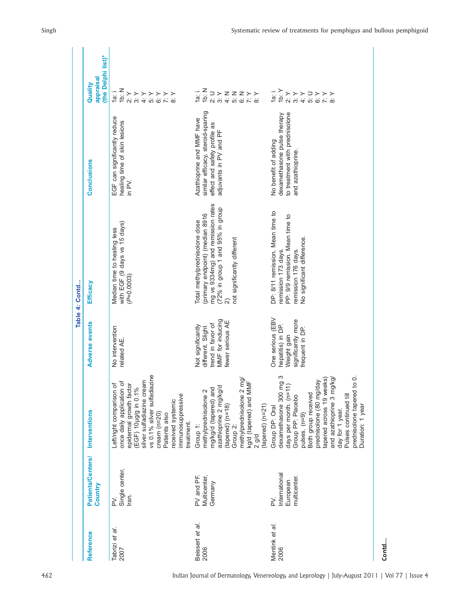|                         |                                                |                                                                                                                                                                                                                                                                                                                                                  |                                                                                                     | Table 4: Contd                                                                                                                                                                                      |                                                                                                                          |                                                                                                                                                                                                                                                                                             |
|-------------------------|------------------------------------------------|--------------------------------------------------------------------------------------------------------------------------------------------------------------------------------------------------------------------------------------------------------------------------------------------------------------------------------------------------|-----------------------------------------------------------------------------------------------------|-----------------------------------------------------------------------------------------------------------------------------------------------------------------------------------------------------|--------------------------------------------------------------------------------------------------------------------------|---------------------------------------------------------------------------------------------------------------------------------------------------------------------------------------------------------------------------------------------------------------------------------------------|
| Reference               | Patients/Centers/<br>Country                   | Interventions                                                                                                                                                                                                                                                                                                                                    | Adverse events                                                                                      | Efficacy                                                                                                                                                                                            | Conclusions                                                                                                              | (the Delphi list)*<br>appraisal<br>Quality                                                                                                                                                                                                                                                  |
| Tabrizi et al.<br>2007  | Single center,<br>Iran.<br>ΣŃ.                 | vs 0.1% silver sulfadiazine<br>silver sulfadiazine cream<br>once daily application of<br>epidermal growth factor<br>đ<br>(EGF) 10µg/g in 0.1%<br>Left/right comparison<br>immunosuppressive<br>received systemic<br>$c$ ream $(n=20)$<br>Patients also<br>treatment.                                                                             | No intervention<br>related AE.                                                                      | with EGF (9 days vs 15 days)<br>Median time to healing less<br>$(P=0.0003)$                                                                                                                         | EGF can significantly reduce<br>healing time of skin lesions<br>in PV.                                                   | 1 <sub>b</sub> : N<br>$\frac{1}{a}$<br>$\begin{array}{c} \times \\ \times \\ \odot \end{array}$ $\begin{array}{c} \times \\ \times \end{array}$<br>$\begin{array}{c} \times \times \times \\ \tilde{\omega} \times \tilde{\omega} \end{array}$<br>$\begin{array}{c} 4.7 \\ 5.7 \end{array}$ |
| Beissert et al.<br>2006 | Multicenter,<br>PV and PF.<br>Germany          | nremyprednisolone 2 mg/<br>sg/d (tapered) and MMF<br>azathioprine 2 mg/kg/d<br>mg/kg/d (tapered) and<br>methylprednisolone 2<br>$(tapered)$ (n=18)<br>$(tapered)$ ( $n=21$ )<br>Group 1:<br>Group <sub>2</sub><br>$2$ g/d                                                                                                                        | MMF for inducing<br>fewer serious AE<br>trend in favor of<br>Not significantly<br>different. Slight | mg vs 9334mg) and remission rates<br>(72% in group 1 and 95% in group<br>(primary endpoint) (median 8916<br>Total methylprednisolone dose<br>not significantly different<br>$\widehat{\mathcal{Q}}$ | similar efficacy, steroid-sparing<br>Azathioprine and MMF have<br>effect and safety profile as<br>adjuvants in PV and PF | 16: N<br>$\frac{1}{\alpha}$<br>$D \succ Z Z Z \succ \succ$<br>$\sim$ $\sim$ $\sim$ $\sim$<br>$\sim$                                                                                                                                                                                         |
| Mentink et al.<br>2006  | International<br>multicenter.<br>European<br>≧ | dexamethasone 300 mg 3<br>$\frac{0}{2}$<br>tapered across 19 weeks)<br>lolka/<br>prednisolone (80 mg/day<br>$\widehat{E}$<br>and azathioprine 3 m<br>prednisolone tapered<br>days per month. (n=1<br>Both group received<br>Pulses continued till<br>Group PP: Placebo<br>Duration: 1 year<br>Group DP: Oral<br>day for 1 year.<br>pulses. (n=9) | One serious (EBV<br>significantly more<br>hepatitis) in DP.<br>frequent in DP.<br>Weight gain       | DP: 8/11 remission. Mean time to<br>PP: 9/9 remission. Mean time to<br>No significant difference.<br>remission 176 days.<br>remission 173 days                                                      | to treatment with prednisolone<br>dexamethasone pulse therapy<br>No benefit of adding<br>and azathioprine.               | 1b: $Y$<br>$\frac{1}{\alpha}$<br>$\frac{1}{2}$<br>$\supset$<br>3: Y<br>$\begin{array}{c} \times \times \times \\ \tilde{\omega} \overset{\sim}{\sim} \tilde{\omega} \end{array}$<br>4: Y<br>ίó.                                                                                             |
| Contd                   |                                                |                                                                                                                                                                                                                                                                                                                                                  |                                                                                                     |                                                                                                                                                                                                     |                                                                                                                          |                                                                                                                                                                                                                                                                                             |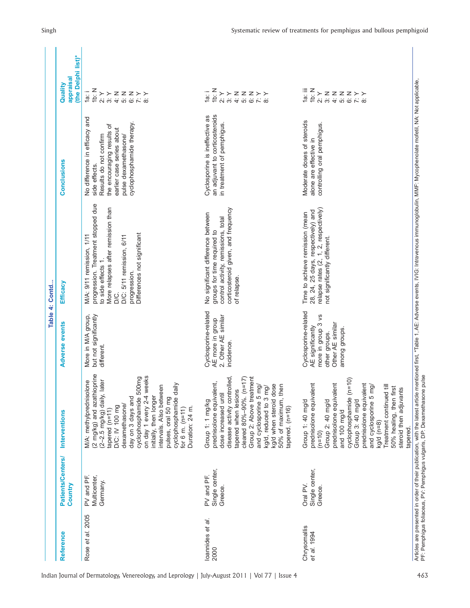| appraisal<br>Quality<br>1a∷ iii<br>1 <sub>b</sub> : N<br>1 <sub>b</sub> : N<br>16: N<br>$\frac{1}{\alpha}$<br>$\frac{1}{a}$<br>$\frac{1}{2}$<br>$\begin{array}{c} \times \\ \text{2} \\ \text{3} \\ \text{4} \end{array}$<br>$Z Z Z$<br>$\overleftrightarrow{q}$<br>$\overleftrightarrow{q}$<br>$\begin{array}{c} 2 \times 2 \\ 2 \times 2 \times 1 \end{array}$<br>$\frac{Z}{6}$<br>$Z Z Z >>$<br>$2:$ $\times$<br>$\frac{1}{3}$ .<br>$\begin{array}{c}\n\times \\ \times \\ \hline\n\times\n\end{array}$<br>$\begin{array}{c}\n\times \\ \times \\ \hline\n\times\n\end{array}$<br>an adjuvant to corticosteroids<br>Cyclosporine is ineffective as<br>No difference in efficacy and<br>Moderate doses of steroids<br>cyclophosphamide therapy.<br>controlling oral pemphigus.<br>in treatment of pemphigus.<br>the encouraging results of<br>earlier case series about<br>Results do not confirm<br>pulse dexamethasone/<br>alone are effective in<br><b>Conclusions</b><br>side effects.<br>progression. Treatment stopped due<br>More relapses after remission than<br>corticosteroid given, and frequency<br>relapse rates (2, 1, 2, respectively)<br>28, 24, 25 days, respectively) and<br>Time to achieve remission (mean<br>No significant difference between<br>control activity, remissions, total<br>groups for time required to<br>Differences not significant<br>M/A: 9/11 remission, 1/11<br>D/C: 5/11 remission, 6/11<br>not significantly different.<br>to side effects 1.<br>progression.<br>of relapse.<br>Efficacy<br>D/C.<br>Cyclosporine-related<br>Cyclosporine-related<br>More in M/A group,<br>more in group 3 vs<br>but not significantly<br>2. Other AE similar<br>AE more in group<br><b>Adverse events</b><br>Other AE similar<br>AE significantly<br>among groups.<br>other groups.<br>incidence.<br>different.<br>(2 mg/kg) and azathioprine<br>on day 1 every 2-4 weeks<br>cyclophosphamide 500mg<br>disease activity controlled,<br>Group 2: Above treatment<br>(11)<br>cyclophosphamide (n=10)<br>(2-2.5 mg/kg) daily, later<br>M/A: methylprednisolone<br>prednisolone equivalent,<br>cyclophosphamide daily<br>prednisolone equivalent<br>prednisolone equivalent<br>prednisolone equivalent<br>and cyclosporine 5 mg/<br>50% of maximum, then<br>≣<br>intervals. Also between<br>kg/d when steroid dose<br>and cyclosporine 5 mg/<br>kg/d, reduced to 3 mg/<br>50% healing, then first<br>steroid then adjuvants<br>tapered when lesions<br>cleared 80%-90%. (n<br>Treatment continued<br>dose increased until<br>initially, then longer<br>day on 3 days and<br>pulses, oral 50 mg<br>Group 3: 40 mg/d<br>Group 2: 40 mg/d<br>Group 1: 40 mg/d<br>Group 1: 1 mg/kg<br>dexamethasone/<br>D/C: IV 100 mg<br>tapered. (n=16)<br>Duration: 24 m.<br>for $6 \text{ m}$ . ( $n=11$ )<br>tapered (n=11)<br>and 100 mg/d<br>Interventions<br>kg/d (n=8)<br>tapered.<br>$(n=10)$<br>Patients/Centers/<br>Single center,<br>Single center,<br>Multicenter,<br>PV and PF.<br>PV and PF.<br>Germany.<br>Country<br>Oral PV.<br>Greece.<br>Greece.<br>et al. 2005<br>loannides et al.<br>Chrysomallis<br>et al. 1994<br>Reference<br>Rose<br>2000 |  |  | Table 4: Contd |                    |
|----------------------------------------------------------------------------------------------------------------------------------------------------------------------------------------------------------------------------------------------------------------------------------------------------------------------------------------------------------------------------------------------------------------------------------------------------------------------------------------------------------------------------------------------------------------------------------------------------------------------------------------------------------------------------------------------------------------------------------------------------------------------------------------------------------------------------------------------------------------------------------------------------------------------------------------------------------------------------------------------------------------------------------------------------------------------------------------------------------------------------------------------------------------------------------------------------------------------------------------------------------------------------------------------------------------------------------------------------------------------------------------------------------------------------------------------------------------------------------------------------------------------------------------------------------------------------------------------------------------------------------------------------------------------------------------------------------------------------------------------------------------------------------------------------------------------------------------------------------------------------------------------------------------------------------------------------------------------------------------------------------------------------------------------------------------------------------------------------------------------------------------------------------------------------------------------------------------------------------------------------------------------------------------------------------------------------------------------------------------------------------------------------------------------------------------------------------------------------------------------------------------------------------------------------------------------------------------------------------------------------------------------------------------------------------------------------------------------------------------------------------------------------------------------------------------------------------------------------------------------------------------------------------------------------------------------------------------------------------------------------------------------------------------------------------------------------------------------------------------------------------------------------------------------------|--|--|----------------|--------------------|
|                                                                                                                                                                                                                                                                                                                                                                                                                                                                                                                                                                                                                                                                                                                                                                                                                                                                                                                                                                                                                                                                                                                                                                                                                                                                                                                                                                                                                                                                                                                                                                                                                                                                                                                                                                                                                                                                                                                                                                                                                                                                                                                                                                                                                                                                                                                                                                                                                                                                                                                                                                                                                                                                                                                                                                                                                                                                                                                                                                                                                                                                                                                                                                            |  |  |                | (the Delphi list)* |
|                                                                                                                                                                                                                                                                                                                                                                                                                                                                                                                                                                                                                                                                                                                                                                                                                                                                                                                                                                                                                                                                                                                                                                                                                                                                                                                                                                                                                                                                                                                                                                                                                                                                                                                                                                                                                                                                                                                                                                                                                                                                                                                                                                                                                                                                                                                                                                                                                                                                                                                                                                                                                                                                                                                                                                                                                                                                                                                                                                                                                                                                                                                                                                            |  |  |                |                    |
|                                                                                                                                                                                                                                                                                                                                                                                                                                                                                                                                                                                                                                                                                                                                                                                                                                                                                                                                                                                                                                                                                                                                                                                                                                                                                                                                                                                                                                                                                                                                                                                                                                                                                                                                                                                                                                                                                                                                                                                                                                                                                                                                                                                                                                                                                                                                                                                                                                                                                                                                                                                                                                                                                                                                                                                                                                                                                                                                                                                                                                                                                                                                                                            |  |  |                |                    |
|                                                                                                                                                                                                                                                                                                                                                                                                                                                                                                                                                                                                                                                                                                                                                                                                                                                                                                                                                                                                                                                                                                                                                                                                                                                                                                                                                                                                                                                                                                                                                                                                                                                                                                                                                                                                                                                                                                                                                                                                                                                                                                                                                                                                                                                                                                                                                                                                                                                                                                                                                                                                                                                                                                                                                                                                                                                                                                                                                                                                                                                                                                                                                                            |  |  |                |                    |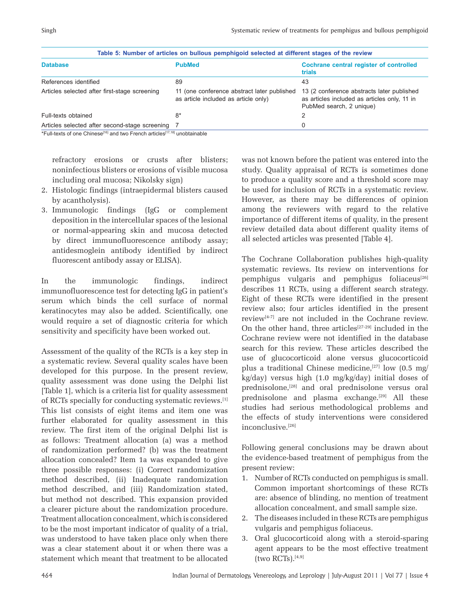|                                                | Table 5: Number of articles on bullous pemphigoid selected at different stages of the review |                                                                                                                        |
|------------------------------------------------|----------------------------------------------------------------------------------------------|------------------------------------------------------------------------------------------------------------------------|
| <b>Database</b>                                | <b>PubMed</b>                                                                                | Cochrane central register of controlled<br>trials                                                                      |
| References identified                          | 89                                                                                           | 43                                                                                                                     |
| Articles selected after first-stage screening  | 11 (one conference abstract later published<br>as article included as article only)          | 13 (2 conference abstracts later published<br>as articles included as articles only, 11 in<br>PubMed search, 2 unique) |
| Full-texts obtained                            | $8*$                                                                                         |                                                                                                                        |
| Articles selected after second-stage screening |                                                                                              | 0                                                                                                                      |

\*Full-texts of one Chinese<sup>[16]</sup> and two French articles<sup>[17,18]</sup> unobtainable

refractory erosions or crusts after blisters; noninfectious blisters or erosions of visible mucosa including oral mucosa; Nikolsky sign)

- 2. Histologic findings (intraepidermal blisters caused by acantholysis).
- 3. Immunologic findings (IgG or complement deposition in the intercellular spaces of the lesional or normal-appearing skin and mucosa detected by direct immunofluorescence antibody assay; antidesmoglein antibody identified by indirect fluorescent antibody assay or ELISA).

In the immunologic findings, indirect immunofluorescence test for detecting IgG in patient's serum which binds the cell surface of normal keratinocytes may also be added. Scientifically, one would require a set of diagnostic criteria for which sensitivity and specificity have been worked out.

Assessment of the quality of the RCTs is a key step in a systematic review. Several quality scales have been developed for this purpose. In the present review, quality assessment was done using the Delphi list [Table 1], which is a criteria list for quality assessment of RCTs specially for conducting systematic reviews.[1] This list consists of eight items and item one was further elaborated for quality assessment in this review. The first item of the original Delphi list is as follows: Treatment allocation (a) was a method of randomization performed? (b) was the treatment allocation concealed? Item 1a was expanded to give three possible responses: (i) Correct randomization method described, (ii) Inadequate randomization method described, and (iii) Randomization stated, but method not described. This expansion provided a clearer picture about the randomization procedure. Treatment allocation concealment, which is considered to be the most important indicator of quality of a trial, was understood to have taken place only when there was a clear statement about it or when there was a statement which meant that treatment to be allocated

was not known before the patient was entered into the study. Quality appraisal of RCTs is sometimes done to produce a quality score and a threshold score may be used for inclusion of RCTs in a systematic review. However, as there may be differences of opinion among the reviewers with regard to the relative importance of different items of quality, in the present review detailed data about different quality items of all selected articles was presented [Table 4].

The Cochrane Collaboration publishes high-quality systematic reviews. Its review on interventions for pemphigus vulgaris and pemphigus foliaceus<sup>[26]</sup> describes 11 RCTs, using a different search strategy. Eight of these RCTs were identified in the present review also; four articles identified in the present review[4-7] are not included in the Cochrane review. On the other hand, three articles<sup>[27-29]</sup> included in the Cochrane review were not identified in the database search for this review. These articles described the use of glucocorticoid alone versus glucocorticoid plus a traditional Chinese medicine,<sup>[27]</sup> low (0.5 mg/ kg/day) versus high (1.0 mg/kg/day) initial doses of prednisolone,<sup>[28]</sup> and oral prednisolone versus oral prednisolone and plasma exchange.<sup>[29]</sup> All these studies had serious methodological problems and the effects of study interventions were considered inconclusive.[26]

Following general conclusions may be drawn about the evidence-based treatment of pemphigus from the present review:

- 1. Number of RCTs conducted on pemphigus is small. Common important shortcomings of these RCTs are: absence of blinding, no mention of treatment allocation concealment, and small sample size.
- 2. The diseases included in these RCTs are pemphigus vulgaris and pemphigus foliaceus.
- 3. Oral glucocorticoid along with a steroid-sparing agent appears to be the most effective treatment  $(two RCTs).$ <sup>[4,9]</sup>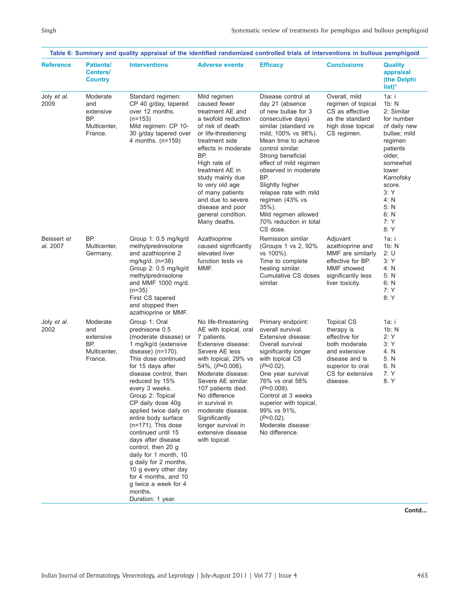|                         |                                                                | Table 6: Summary and quality appraisal of the identified randomized controlled trials of interventions in bullous pemphigoid                                                                                                                                                                                                                                                                                                                                                                                                                                     |                                                                                                                                                                                                                                                                                                                                                             |                                                                                                                                                                                                                                                                                                                                                                                                       |                                                                                                                                                          |                                                                                                                                                                                                        |
|-------------------------|----------------------------------------------------------------|------------------------------------------------------------------------------------------------------------------------------------------------------------------------------------------------------------------------------------------------------------------------------------------------------------------------------------------------------------------------------------------------------------------------------------------------------------------------------------------------------------------------------------------------------------------|-------------------------------------------------------------------------------------------------------------------------------------------------------------------------------------------------------------------------------------------------------------------------------------------------------------------------------------------------------------|-------------------------------------------------------------------------------------------------------------------------------------------------------------------------------------------------------------------------------------------------------------------------------------------------------------------------------------------------------------------------------------------------------|----------------------------------------------------------------------------------------------------------------------------------------------------------|--------------------------------------------------------------------------------------------------------------------------------------------------------------------------------------------------------|
| <b>Reference</b>        | <b>Patients/</b><br>Centers/<br><b>Country</b>                 | <b>Interventions</b>                                                                                                                                                                                                                                                                                                                                                                                                                                                                                                                                             | <b>Adverse events</b>                                                                                                                                                                                                                                                                                                                                       | <b>Efficacy</b>                                                                                                                                                                                                                                                                                                                                                                                       | <b>Conclusions</b>                                                                                                                                       | <b>Quality</b><br>appraisal<br>(the Delphi)<br>$list)^*$                                                                                                                                               |
| Joly et al.<br>2009     | Moderate<br>and<br>extensive<br>BP.<br>Multicenter,<br>France. | Standard regimen:<br>CP 40 g/day, tapered<br>over 12 months.<br>$(n=153)$<br>Mild regimen: CP 10-<br>30 g/day tapered over<br>4 months. (n=159)                                                                                                                                                                                                                                                                                                                                                                                                                  | Mild regimen<br>caused fewer<br>treatment AE and<br>a twofold reduction<br>of risk of death<br>or life-threatening<br>treatment side<br>effects in moderate<br>BP.<br>High rate of<br>treatment AE in<br>study mainly due<br>to very old age<br>of many patients<br>and due to severe<br>disease and poor<br>general condition.<br>Many deaths.             | Disease control at<br>day 21 (absence<br>of new bullae for 3<br>consecutive days)<br>similar (standard vs<br>mild, 100% vs 98%).<br>Mean time to achieve<br>control similar.<br>Strong beneficial<br>effect of mild regimen<br>observed in moderate<br>BP.<br>Slightly higher<br>relapse rate with mild<br>regimen (43% vs<br>$35\%$ ).<br>Mild regimen allowed<br>70% reduction in total<br>CS dose. | Overall, mild<br>regimen of topical<br>CS as effective<br>as the standard<br>high dose topical<br>CS regimen.                                            | 1a: i<br>1b: N<br>2: Similar<br>for number<br>of daily new<br>bullae; mild<br>regimen<br>patients<br>older,<br>somewhat<br>lower<br>Karnofsky<br>score.<br>3:Y<br>4: N<br>5: N<br>6: N<br>7: Y<br>8: Y |
| Beissert et<br>al. 2007 | BP.<br>Multicenter,<br>Germany.                                | Group 1: 0.5 mg/kg/d<br>methylprednisolone<br>and azathioprine 2<br>mg/kg/d. (n=38)<br>Group 2: 0.5 mg/kg/d<br>methylprednisolone<br>and MMF 1000 mg/d.<br>$(n=35)$<br>First CS tapered<br>and stopped then<br>azathioprine or MMF.                                                                                                                                                                                                                                                                                                                              | Azathioprine<br>caused significantly<br>elevated liver<br>function tests vs<br>MMF.                                                                                                                                                                                                                                                                         | Remission similar<br>(Groups 1 vs 2, 92%)<br>vs 100%).<br>Time to complete<br>healing similar.<br>Cumulative CS doses<br>similar.                                                                                                                                                                                                                                                                     | Adjuvant<br>azathioprine and<br>MMF are similarly<br>effective for BP.<br>MMF showed<br>significantly less<br>liver toxicity.                            | 1a: i<br>1b: N<br>2:U<br>3:Y<br>4: N<br>5: N<br>6: N<br>7:Y<br>8:Y                                                                                                                                     |
| Joly et al.<br>2002     | Moderate<br>and<br>extensive<br>BP.<br>Multicenter,<br>France. | Group 1: Oral<br>prednisone 0.5<br>(moderate disease) or<br>1 mg/kg/d (extensive<br>disease) $(n=170)$ .<br>This dose continued<br>for 15 days after<br>disease control, then<br>reduced by 15%<br>every 3 weeks.<br>Group 2: Topical<br>CP daily dose 40g<br>applied twice daily on<br>entire body surface<br>$(n=171)$ . This dose<br>continued until 15<br>days after disease<br>control, then 20 g<br>daily for 1 month, 10<br>g daily for 2 months,<br>10 g every other day<br>for 4 months, and 10<br>g twice a week for 4<br>months.<br>Duration: 1 year. | No life-threatening<br>AE with topical, oral<br>7 patients.<br>Extensive disease:<br>Severe AE less<br>with topical, 29% vs<br>$54\%$ , $(P=0.006)$ .<br>Moderate disease:<br>Severe AE similar.<br>107 patients died.<br>No difference<br>in survival in<br>moderate disease.<br>Significantly<br>longer survival in<br>extensive disease<br>with topical. | Primary endpoint:<br>overall survival.<br>Extensive disease:<br>Overall survival<br>significantly longer<br>with topical CS<br>$(P=0.02)$ .<br>One year survival<br>76% vs oral 58%<br>$(P=0.009)$ .<br>Control at 3 weeks<br>superior with topical.<br>99% vs 91%,<br>$(P=0.02)$ .<br>Moderate disease:<br>No difference.                                                                            | <b>Topical CS</b><br>therapy is<br>effective for<br>both moderate<br>and extensive<br>disease and is<br>superior to oral<br>CS for extensive<br>disease. | 1a: i<br>1b: N<br>2:Y<br>3:Y<br>4. N<br>5. N<br>6. N<br>7. Y<br>8. Y                                                                                                                                   |

**Contd...**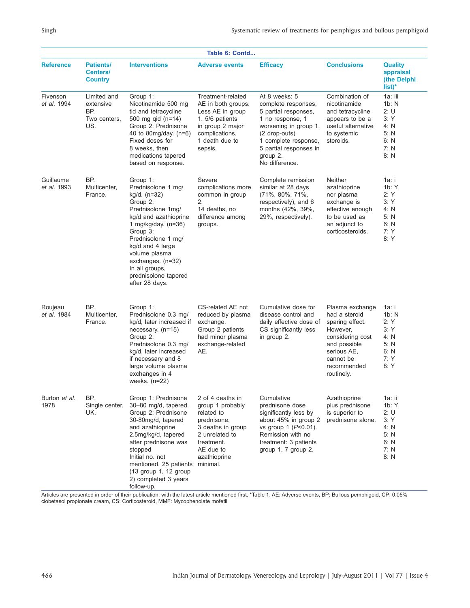| Table 6: Contd               |                                                        |                                                                                                                                                                                                                                                                                           |                                                                                                                                                                 |                                                                                                                                                                                                            |                                                                                                                                                              |                                                                        |
|------------------------------|--------------------------------------------------------|-------------------------------------------------------------------------------------------------------------------------------------------------------------------------------------------------------------------------------------------------------------------------------------------|-----------------------------------------------------------------------------------------------------------------------------------------------------------------|------------------------------------------------------------------------------------------------------------------------------------------------------------------------------------------------------------|--------------------------------------------------------------------------------------------------------------------------------------------------------------|------------------------------------------------------------------------|
| <b>Reference</b>             | <b>Patients/</b><br>Centers/<br><b>Country</b>         | <b>Interventions</b>                                                                                                                                                                                                                                                                      | <b>Adverse events</b>                                                                                                                                           | <b>Efficacy</b>                                                                                                                                                                                            | <b>Conclusions</b>                                                                                                                                           | <b>Quality</b><br>appraisal<br>(the Delphi<br>$list)^*$                |
| Fivenson<br>et al. 1994      | Limited and<br>extensive<br>BP.<br>Two centers,<br>US. | Group 1:<br>Nicotinamide 500 mg<br>tid and tetracycline<br>500 mg qid (n=14)<br>Group 2: Prednisone<br>40 to 80mg/day. (n=6)<br>Fixed doses for<br>8 weeks, then<br>medications tapered<br>based on response.                                                                             | Treatment-related<br>AE in both groups.<br>Less AE in group<br>1. 5/6 patients<br>in group 2 major<br>complications,<br>1 death due to<br>sepsis.               | At 8 weeks: 5<br>complete responses,<br>5 partial responses,<br>1 no response, 1<br>worsening in group 1.<br>(2 drop-outs)<br>1 complete response,<br>5 partial responses in<br>group 2.<br>No difference. | Combination of<br>nicotinamide<br>and tetracycline<br>appears to be a<br>useful alternative<br>to systemic<br>steroids.                                      | 1a: iii<br>1b: N<br>2:U<br>3:Y<br>4: N<br>5: N<br>6: N<br>7: N<br>8: N |
| Guillaume<br>et al. 1993     | BP.<br>Multicenter,<br>France.                         | Group 1:<br>Prednisolone 1 mg/<br>kg/d. (n=32)<br>Group 2:<br>Prednisolone 1mg/<br>kg/d and azathioprine<br>1 mg/kg/day. $(n=36)$<br>Group 3:<br>Prednisolone 1 mg/<br>kg/d and 4 large<br>volume plasma<br>exchanges. (n=32)<br>In all groups,<br>prednisolone tapered<br>after 28 days. | Severe<br>complications more<br>common in group<br>2.<br>14 deaths, no<br>difference among<br>groups.                                                           | Complete remission<br>similar at 28 days<br>(71%, 80%, 71%,<br>respectively), and 6<br>months (42%, 39%,<br>29%, respectively).                                                                            | Neither<br>azathioprine<br>nor plasma<br>exchange is<br>effective enough<br>to be used as<br>an adjunct to<br>corticosteroids.                               | 1a: i<br>1b: Y<br>2:Y<br>3:Y<br>4: N<br>5: N<br>6: N<br>7: Y<br>8: Y   |
| Roujeau<br>et al. 1984       | BP.<br>Multicenter,<br>France.                         | Group 1:<br>Prednisolone 0.3 mg/<br>kg/d, later increased if<br>necessary. $(n=15)$<br>Group 2:<br>Prednisolone 0.3 mg/<br>kg/d, later increased<br>if necessary and 8<br>large volume plasma<br>exchanges in 4<br>weeks. $(n=22)$                                                        | CS-related AE not<br>reduced by plasma<br>exchange.<br>Group 2 patients<br>had minor plasma<br>exchange-related<br>AE.                                          | Cumulative dose for<br>disease control and<br>daily effective dose of<br>CS significantly less<br>in group 2.                                                                                              | Plasma exchange<br>had a steroid<br>sparing effect.<br>However,<br>considering cost<br>and possible<br>serious AE,<br>cannot be<br>recommended<br>routinely. | 1a: i<br>1b: N<br>2:Y<br>3:Y<br>4: N<br>5: N<br>6: N<br>7: Y<br>8: Y   |
| Burton <i>et al.</i><br>1978 | BP.<br>Single center,<br>UK.                           | Group 1: Prednisone<br>30-80 mg/d, tapered.<br>Group 2: Prednisone<br>30-80mg/d, tapered<br>and azathioprine<br>2.5mg/kg/d, tapered<br>after prednisone was<br>stopped<br>Initial no. not<br>mentioned. 25 patients<br>$(13$ group 1, 12 group<br>2) completed 3 years<br>follow-up.      | 2 of 4 deaths in<br>group 1 probably<br>related to<br>prednisone.<br>3 deaths in group<br>2 unrelated to<br>treatment.<br>AE due to<br>azathioprine<br>minimal. | Cumulative<br>prednisone dose<br>significantly less by<br>about 45% in group 2<br>vs group 1 $(P<0.01)$ .<br>Remission with no<br>treatment: 3 patients<br>group $1, 7$ group $2.$                         | Azathioprine<br>plus prednisone<br>is superior to<br>prednisone alone.                                                                                       | 1a: ii<br>1b: Y<br>2:U<br>3:Y<br>4: N<br>5: N<br>6: N<br>7: N<br>8: N  |

Articles are presented in order of their publication, with the latest article mentioned first, \*Table 1, AE: Adverse events, BP: Bullous pemphigoid, CP: 0.05% clobetasol propionate cream, CS: Corticosteroid, MMF: Mycophenolate mofetil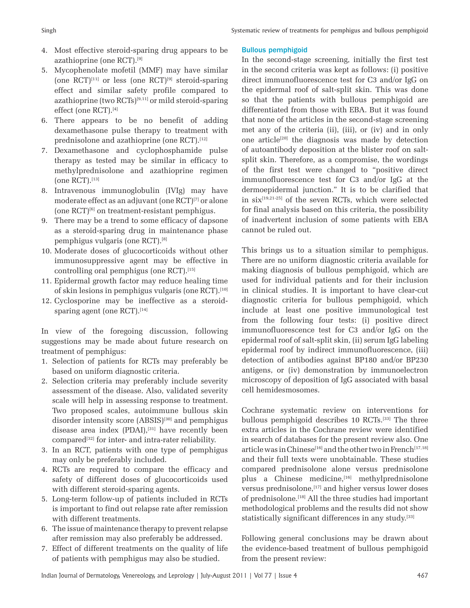- 4. Most effective steroid-sparing drug appears to be azathioprine (one RCT).[9]
- 5. Mycophenolate mofetil (MMF) may have similar (one  $\text{RCT}$ <sup>[11]</sup> or less (one  $\text{RCT}$ <sup>[9]</sup> steroid-sparing effect and similar safety profile compared to azathioprine (two  $\text{RCTs}$ )<sup>[9,11]</sup> or mild steroid-sparing effect (one RCT).[4]
- 6. There appears to be no benefit of adding dexamethasone pulse therapy to treatment with prednisolone and azathioprine (one RCT).<sup>[12]</sup>
- 7. Dexamethasone and cyclophosphamide pulse therapy as tested may be similar in efficacy to methylprednisolone and azathioprine regimen  $(one RCT).$ [13]
- 8. Intravenous immunoglobulin (IVIg) may have moderate effect as an adjuvant (one RCT)<sup>[7]</sup> or alone  $(one RCT)^{[6]}$  on treatment-resistant pemphigus.
- 9. There may be a trend to some efficacy of dapsone as a steroid-sparing drug in maintenance phase pemphigus vulgaris (one RCT).[8]
- 10. Moderate doses of glucocorticoids without other immunosuppressive agent may be effective in controlling oral pemphigus (one RCT).[15]
- 11. Epidermal growth factor may reduce healing time of skin lesions in pemphigus vulgaris (one RCT).<sup>[10]</sup>
- 12. Cyclosporine may be ineffective as a steroidsparing agent (one  $\text{RCT}$ ).<sup>[14]</sup>

In view of the foregoing discussion, following suggestions may be made about future research on treatment of pemphigus:

- 1. Selection of patients for RCTs may preferably be based on uniform diagnostic criteria.
- 2. Selection criteria may preferably include severity assessment of the disease. Also, validated severity scale will help in assessing response to treatment. Two proposed scales, autoimmune bullous skin disorder intensity score (ABSIS)<sup>[30]</sup> and pemphigus disease area index (PDAI),<sup>[31]</sup> have recently been compared[32] for inter- and intra-rater reliability.
- 3. In an RCT, patients with one type of pemphigus may only be preferably included.
- 4. RCTs are required to compare the efficacy and safety of different doses of glucocorticoids used with different steroid-sparing agents.
- 5. Long-term follow-up of patients included in RCTs is important to find out relapse rate after remission with different treatments.
- 6. The issue of maintenance therapy to prevent relapse after remission may also preferably be addressed.
- 7. Effect of different treatments on the quality of life of patients with pemphigus may also be studied.

## Bullous pemphigoid

In the second-stage screening, initially the first test in the second criteria was kept as follows: (i) positive direct immunofluorescence test for C3 and/or IgG on the epidermal roof of salt-split skin. This was done so that the patients with bullous pemphigoid are differentiated from those with EBA. But it was found that none of the articles in the second-stage screening met any of the criteria (ii), (iii), or (iv) and in only one article<sup>[20]</sup> the diagnosis was made by detection of autoantibody deposition at the blister roof on saltsplit skin. Therefore, as a compromise, the wordings of the first test were changed to "positive direct immunofluorescence test for C3 and/or IgG at the dermoepidermal junction." It is to be clarified that in  $six^{[19,21-25]}$  of the seven RCTs, which were selected for final analysis based on this criteria, the possibility of inadvertent inclusion of some patients with EBA cannot be ruled out.

This brings us to a situation similar to pemphigus. There are no uniform diagnostic criteria available for making diagnosis of bullous pemphigoid, which are used for individual patients and for their inclusion in clinical studies. It is important to have clear-cut diagnostic criteria for bullous pemphigoid, which include at least one positive immunological test from the following four tests: (i) positive direct immunofluorescence test for C3 and/or IgG on the epidermal roof of salt-split skin, (ii) serum IgG labeling epidermal roof by indirect immunofluorescence, (iii) detection of antibodies against BP180 and/or BP230 antigens, or (iv) demonstration by immunoelectron microscopy of deposition of IgG associated with basal cell hemidesmosomes.

Cochrane systematic review on interventions for bullous pemphigoid describes 10 RCTs.[33] The three extra articles in the Cochrane review were identified in search of databases for the present review also. One article was in Chinese<sup>[16]</sup> and the other two in French<sup>[17,18]</sup> and their full texts were unobtainable. These studies compared prednisolone alone versus prednisolone plus a Chinese medicine,<sup>[16]</sup> methylprednisolone versus prednisolone,<sup>[17]</sup> and higher versus lower doses of prednisolone.[18] All the three studies had important methodological problems and the results did not show statistically significant differences in any study.<sup>[33]</sup>

Following general conclusions may be drawn about the evidence-based treatment of bullous pemphigoid from the present review: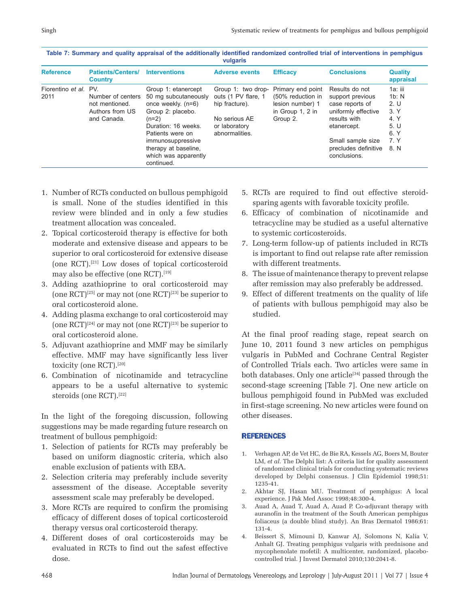| <b>Reference</b>              | <b>Patients/Centers/</b><br><b>Country</b>                            | <b>Interventions</b>                                                                                                                                                                                                            | <b>Adverse events</b>                                                                                           | <b>Efficacy</b>                                                                            | <b>Conclusions</b>                                                                                                                                                       | <b>Quality</b><br>appraisal                                              |
|-------------------------------|-----------------------------------------------------------------------|---------------------------------------------------------------------------------------------------------------------------------------------------------------------------------------------------------------------------------|-----------------------------------------------------------------------------------------------------------------|--------------------------------------------------------------------------------------------|--------------------------------------------------------------------------------------------------------------------------------------------------------------------------|--------------------------------------------------------------------------|
| Fiorentino et al. PV.<br>2011 | Number of centers<br>not mentioned.<br>Authors from US<br>and Canada. | Group 1: etanercept<br>50 mg subcutaneously<br>once weekly. (n=6)<br>Group 2: placebo.<br>$(n=2)$<br>Duration: 16 weeks.<br>Patients were on<br>immunosuppressive<br>therapy at baseline,<br>which was apparently<br>continued. | Group 1: two drop-<br>outs (1 PV flare, 1<br>hip fracture).<br>No serious AE<br>or laboratory<br>abnormalities. | Primary end point<br>(50% reduction in<br>lesion number) 1<br>in Group 1, 2 in<br>Group 2. | Results do not<br>support previous<br>case reports of<br>uniformly effective<br>results with<br>etanercept.<br>Small sample size<br>precludes definitive<br>conclusions. | 1a: iii<br>1b: N<br>2. U<br>3. Y<br>4. Y<br>5. U<br>6. Y<br>7. Y<br>8. N |

| Table 7: Summary and quality appraisal of the additionally identified randomized controlled trial of interventions in pemphigus |
|---------------------------------------------------------------------------------------------------------------------------------|
| vulgaris                                                                                                                        |

- 1. Number of RCTs conducted on bullous pemphigoid is small. None of the studies identified in this review were blinded and in only a few studies treatment allocation was concealed.
- 2. Topical corticosteroid therapy is effective for both moderate and extensive disease and appears to be superior to oral corticosteroid for extensive disease (one RCT).[21] Low doses of topical corticosteroid may also be effective (one RCT).<sup>[19]</sup>
- 3. Adding azathioprine to oral corticosteroid may (one  $\mathrm{RCT}$ )<sup>[25]</sup> or may not (one  $\mathrm{RCT}$ )<sup>[23]</sup> be superior to oral corticosteroid alone.
- 4. Adding plasma exchange to oral corticosteroid may (one  $\mathrm{RCT}$ <sup>[24]</sup> or may not (one  $\mathrm{RCT}$ ]<sup>[23]</sup> be superior to oral corticosteroid alone.
- 5. Adjuvant azathioprine and MMF may be similarly effective. MMF may have significantly less liver toxicity (one RCT).<sup>[20]</sup>
- 6. Combination of nicotinamide and tetracycline appears to be a useful alternative to systemic steroids (one RCT).<sup>[22]</sup>

In the light of the foregoing discussion, following suggestions may be made regarding future research on treatment of bullous pemphigoid:

- 1. Selection of patients for RCTs may preferably be based on uniform diagnostic criteria, which also enable exclusion of patients with EBA.
- 2. Selection criteria may preferably include severity assessment of the disease. Acceptable severity assessment scale may preferably be developed.
- 3. More RCTs are required to confirm the promising efficacy of different doses of topical corticosteroid therapy versus oral corticosteroid therapy.
- 4. Different doses of oral corticosteroids may be evaluated in RCTs to find out the safest effective dose.
- 5. RCTs are required to find out effective steroidsparing agents with favorable toxicity profile.
- 6. Efficacy of combination of nicotinamide and tetracycline may be studied as a useful alternative to systemic corticosteroids.
- 7. Long-term follow-up of patients included in RCTs is important to find out relapse rate after remission with different treatments.
- 8. The issue of maintenance therapy to prevent relapse after remission may also preferably be addressed.
- 9. Effect of different treatments on the quality of life of patients with bullous pemphigoid may also be studied.

At the final proof reading stage, repeat search on June 10, 2011 found 3 new articles on pemphigus vulgaris in PubMed and Cochrane Central Register of Controlled Trials each. Two articles were same in both databases. Only one article<sup>[34]</sup> passed through the second-stage screening [Table 7]. One new article on bullous pemphigoid found in PubMed was excluded in first-stage screening. No new articles were found on other diseases.

## REFERENCES

- 1. Verhagen AP, de Vet HC, de Bie RA, Kessels AG, Boers M, Bouter LM, *et al*. The Delphi list: A criteria list for quality assessment of randomized clinical trials for conducting systematic reviews developed by Delphi consensus. J Clin Epidemiol 1998;51: 1235-41.
- 2. Akhtar SJ, Hasan MU. Treatment of pemphigus: A local experience. J Pak Med Assoc 1998;48:300-4.
- Auad A, Auad T, Auad A, Auad P. Co-adjuvant therapy with auranofin in the treatment of the South American pemphigus foliaceus (a double blind study). An Bras Dermatol 1986;61: 131-4.
- 4. Beissert S, Mimouni D, Kanwar AJ, Solomons N, Kalia V, Anhalt GJ. Treating pemphigus vulgaris with prednisone and mycophenolate mofetil: A multicenter, randomized, placebocontrolled trial. J Invest Dermatol 2010;130:2041-8.